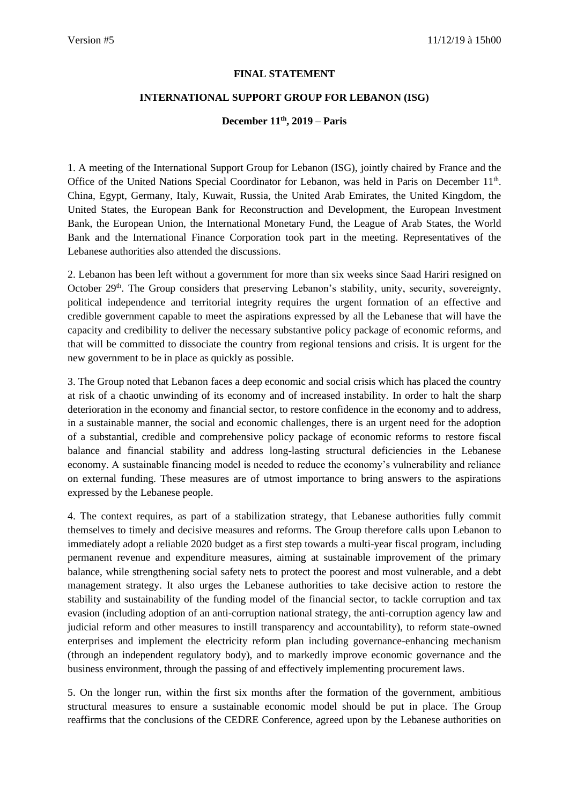## **FINAL STATEMENT**

## **INTERNATIONAL SUPPORT GROUP FOR LEBANON (ISG)**

## **December 11th, 2019 – Paris**

1. A meeting of the International Support Group for Lebanon (ISG), jointly chaired by France and the Office of the United Nations Special Coordinator for Lebanon, was held in Paris on December 11<sup>th</sup>. China, Egypt, Germany, Italy, Kuwait, Russia, the United Arab Emirates, the United Kingdom, the United States, the European Bank for Reconstruction and Development, the European Investment Bank, the European Union, the International Monetary Fund, the League of Arab States, the World Bank and the International Finance Corporation took part in the meeting. Representatives of the Lebanese authorities also attended the discussions.

2. Lebanon has been left without a government for more than six weeks since Saad Hariri resigned on October 29<sup>th</sup>. The Group considers that preserving Lebanon's stability, unity, security, sovereignty, political independence and territorial integrity requires the urgent formation of an effective and credible government capable to meet the aspirations expressed by all the Lebanese that will have the capacity and credibility to deliver the necessary substantive policy package of economic reforms, and that will be committed to dissociate the country from regional tensions and crisis. It is urgent for the new government to be in place as quickly as possible.

3. The Group noted that Lebanon faces a deep economic and social crisis which has placed the country at risk of a chaotic unwinding of its economy and of increased instability. In order to halt the sharp deterioration in the economy and financial sector, to restore confidence in the economy and to address, in a sustainable manner, the social and economic challenges, there is an urgent need for the adoption of a substantial, credible and comprehensive policy package of economic reforms to restore fiscal balance and financial stability and address long-lasting structural deficiencies in the Lebanese economy. A sustainable financing model is needed to reduce the economy's vulnerability and reliance on external funding. These measures are of utmost importance to bring answers to the aspirations expressed by the Lebanese people.

4. The context requires, as part of a stabilization strategy, that Lebanese authorities fully commit themselves to timely and decisive measures and reforms. The Group therefore calls upon Lebanon to immediately adopt a reliable 2020 budget as a first step towards a multi-year fiscal program, including permanent revenue and expenditure measures, aiming at sustainable improvement of the primary balance, while strengthening social safety nets to protect the poorest and most vulnerable, and a debt management strategy. It also urges the Lebanese authorities to take decisive action to restore the stability and sustainability of the funding model of the financial sector, to tackle corruption and tax evasion (including adoption of an anti-corruption national strategy, the anti-corruption agency law and judicial reform and other measures to instill transparency and accountability), to reform state-owned enterprises and implement the electricity reform plan including governance-enhancing mechanism (through an independent regulatory body), and to markedly improve economic governance and the business environment, through the passing of and effectively implementing procurement laws.

5. On the longer run, within the first six months after the formation of the government, ambitious structural measures to ensure a sustainable economic model should be put in place. The Group reaffirms that the conclusions of the CEDRE Conference, agreed upon by the Lebanese authorities on